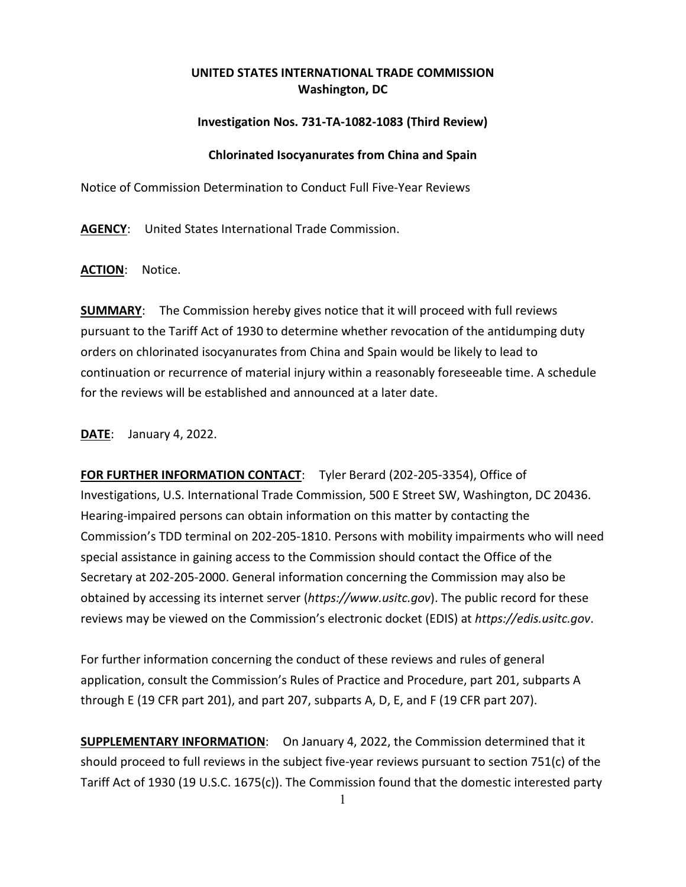## **UNITED STATES INTERNATIONAL TRADE COMMISSION Washington, DC**

## **Investigation Nos. 731-TA-1082-1083 (Third Review)**

## **Chlorinated Isocyanurates from China and Spain**

Notice of Commission Determination to Conduct Full Five-Year Reviews

**AGENCY**: United States International Trade Commission.

**ACTION**: Notice.

**SUMMARY**: The Commission hereby gives notice that it will proceed with full reviews pursuant to the Tariff Act of 1930 to determine whether revocation of the antidumping duty orders on chlorinated isocyanurates from China and Spain would be likely to lead to continuation or recurrence of material injury within a reasonably foreseeable time. A schedule for the reviews will be established and announced at a later date.

**DATE**: January 4, 2022.

**FOR FURTHER INFORMATION CONTACT**: Tyler Berard (202-205-3354), Office of Investigations, U.S. International Trade Commission, 500 E Street SW, Washington, DC 20436. Hearing-impaired persons can obtain information on this matter by contacting the Commission's TDD terminal on 202-205-1810. Persons with mobility impairments who will need special assistance in gaining access to the Commission should contact the Office of the Secretary at 202-205-2000. General information concerning the Commission may also be obtained by accessing its internet server (*https://www.usitc.gov*). The public record for these reviews may be viewed on the Commission's electronic docket (EDIS) at *https://edis.usitc.gov*.

For further information concerning the conduct of these reviews and rules of general application, consult the Commission's Rules of Practice and Procedure, part 201, subparts A through E (19 CFR part 201), and part 207, subparts A, D, E, and F (19 CFR part 207).

**SUPPLEMENTARY INFORMATION**: On January 4, 2022, the Commission determined that it should proceed to full reviews in the subject five-year reviews pursuant to section 751(c) of the Tariff Act of 1930 (19 U.S.C. 1675(c)). The Commission found that the domestic interested party